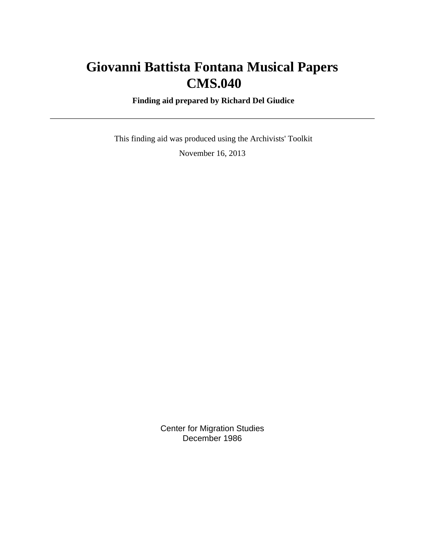# **Giovanni Battista Fontana Musical Papers CMS.040**

 **Finding aid prepared by Richard Del Giudice**

 This finding aid was produced using the Archivists' Toolkit November 16, 2013

> Center for Migration Studies December 1986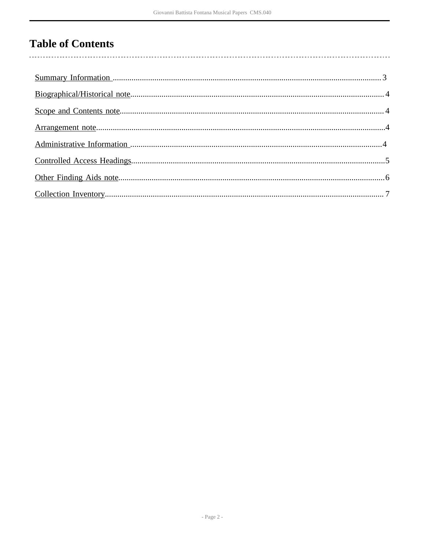# **Table of Contents**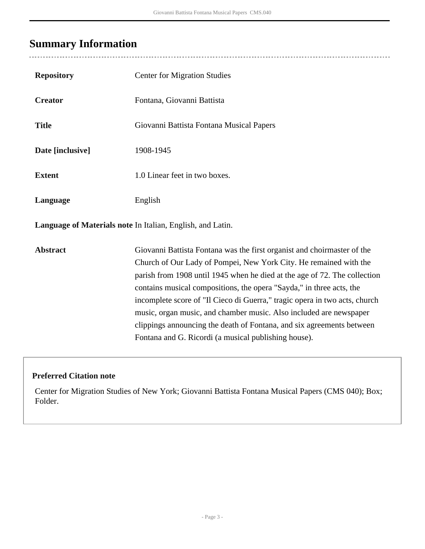## <span id="page-2-0"></span>**Summary Information**

| <b>Repository</b>                                          | <b>Center for Migration Studies</b>                                                                                                                                                                                                                                                                                                                                                                                                                                                                                                                                                    |  |  |
|------------------------------------------------------------|----------------------------------------------------------------------------------------------------------------------------------------------------------------------------------------------------------------------------------------------------------------------------------------------------------------------------------------------------------------------------------------------------------------------------------------------------------------------------------------------------------------------------------------------------------------------------------------|--|--|
| <b>Creator</b>                                             | Fontana, Giovanni Battista                                                                                                                                                                                                                                                                                                                                                                                                                                                                                                                                                             |  |  |
| <b>Title</b>                                               | Giovanni Battista Fontana Musical Papers                                                                                                                                                                                                                                                                                                                                                                                                                                                                                                                                               |  |  |
| Date [inclusive]                                           | 1908-1945                                                                                                                                                                                                                                                                                                                                                                                                                                                                                                                                                                              |  |  |
| <b>Extent</b>                                              | 1.0 Linear feet in two boxes.                                                                                                                                                                                                                                                                                                                                                                                                                                                                                                                                                          |  |  |
| Language                                                   | English                                                                                                                                                                                                                                                                                                                                                                                                                                                                                                                                                                                |  |  |
| Language of Materials note In Italian, English, and Latin. |                                                                                                                                                                                                                                                                                                                                                                                                                                                                                                                                                                                        |  |  |
| <b>Abstract</b>                                            | Giovanni Battista Fontana was the first organist and choirmaster of the<br>Church of Our Lady of Pompei, New York City. He remained with the<br>parish from 1908 until 1945 when he died at the age of 72. The collection<br>contains musical compositions, the opera "Sayda," in three acts, the<br>incomplete score of "Il Cieco di Guerra," tragic opera in two acts, church<br>music, organ music, and chamber music. Also included are newspaper<br>clippings announcing the death of Fontana, and six agreements between<br>Fontana and G. Ricordi (a musical publishing house). |  |  |

### **Preferred Citation note**

Center for Migration Studies of New York; Giovanni Battista Fontana Musical Papers (CMS 040); Box; Folder.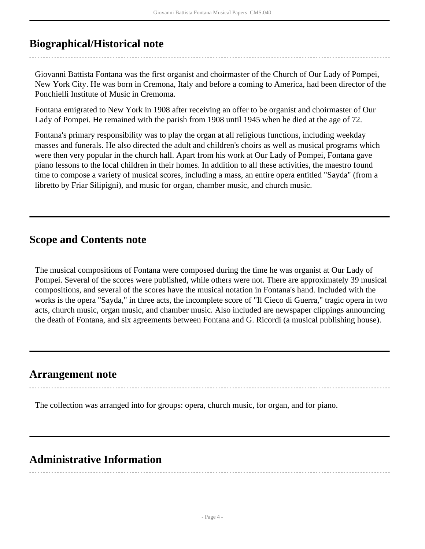## <span id="page-3-0"></span>**Biographical/Historical note**

Giovanni Battista Fontana was the first organist and choirmaster of the Church of Our Lady of Pompei, New York City. He was born in Cremona, Italy and before a coming to America, had been director of the Ponchielli Institute of Music in Cremoma.

Fontana emigrated to New York in 1908 after receiving an offer to be organist and choirmaster of Our Lady of Pompei. He remained with the parish from 1908 until 1945 when he died at the age of 72.

Fontana's primary responsibility was to play the organ at all religious functions, including weekday masses and funerals. He also directed the adult and children's choirs as well as musical programs which were then very popular in the church hall. Apart from his work at Our Lady of Pompei, Fontana gave piano lessons to the local children in their homes. In addition to all these activities, the maestro found time to compose a variety of musical scores, including a mass, an entire opera entitled "Sayda" (from a libretto by Friar Silipigni), and music for organ, chamber music, and church music.

## <span id="page-3-1"></span>**Scope and Contents note**

The musical compositions of Fontana were composed during the time he was organist at Our Lady of Pompei. Several of the scores were published, while others were not. There are approximately 39 musical compositions, and several of the scores have the musical notation in Fontana's hand. Included with the works is the opera "Sayda," in three acts, the incomplete score of "Il Cieco di Guerra," tragic opera in two acts, church music, organ music, and chamber music. Also included are newspaper clippings announcing the death of Fontana, and six agreements between Fontana and G. Ricordi (a musical publishing house).

## <span id="page-3-2"></span>**Arrangement note**

The collection was arranged into for groups: opera, church music, for organ, and for piano.

## <span id="page-3-3"></span>**Administrative Information**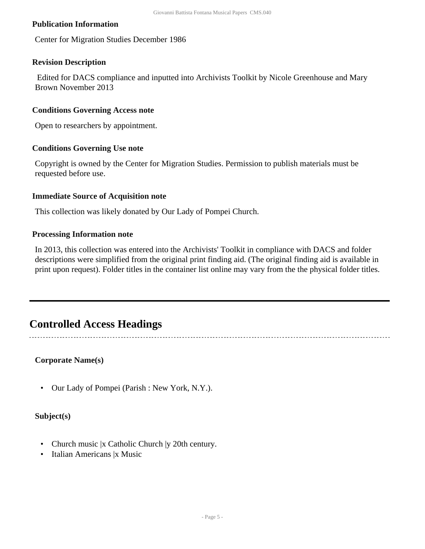#### **Publication Information**

Center for Migration Studies December 1986

#### **Revision Description**

 Edited for DACS compliance and inputted into Archivists Toolkit by Nicole Greenhouse and Mary Brown November 2013

#### **Conditions Governing Access note**

Open to researchers by appointment.

#### **Conditions Governing Use note**

Copyright is owned by the Center for Migration Studies. Permission to publish materials must be requested before use.

#### **Immediate Source of Acquisition note**

This collection was likely donated by Our Lady of Pompei Church.

#### **Processing Information note**

In 2013, this collection was entered into the Archivists' Toolkit in compliance with DACS and folder descriptions were simplified from the original print finding aid. (The original finding aid is available in print upon request). Folder titles in the container list online may vary from the the physical folder titles.

### <span id="page-4-0"></span>**Controlled Access Headings**

#### **Corporate Name(s)**

• Our Lady of Pompei (Parish : New York, N.Y.).

#### **Subject(s)**

- Church music |x Catholic Church |y 20th century.
- Italian Americans |x Music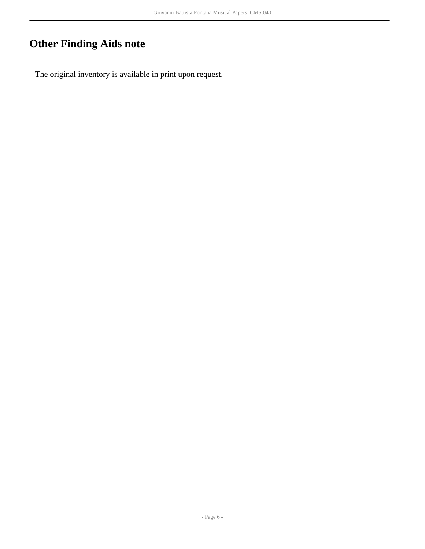## <span id="page-5-0"></span>**Other Finding Aids note**

 $\sim$  . . . 

The original inventory is available in print upon request.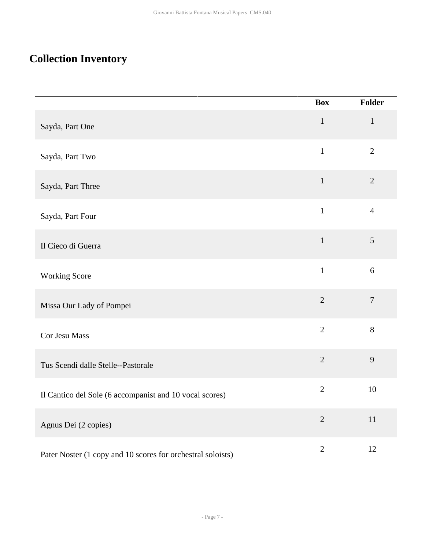## <span id="page-6-0"></span>**Collection Inventory**

|                                                             | <b>Box</b>     | Folder         |
|-------------------------------------------------------------|----------------|----------------|
| Sayda, Part One                                             | $\mathbf{1}$   | $\mathbf{1}$   |
| Sayda, Part Two                                             | $\mathbf{1}$   | $\overline{2}$ |
| Sayda, Part Three                                           | $\mathbf{1}$   | $\sqrt{2}$     |
| Sayda, Part Four                                            | $\mathbf{1}$   | $\overline{4}$ |
| Il Cieco di Guerra                                          | $\mathbf{1}$   | $\mathfrak{S}$ |
| <b>Working Score</b>                                        | $\mathbf 1$    | $6\,$          |
| Missa Our Lady of Pompei                                    | $\overline{2}$ | $\tau$         |
| Cor Jesu Mass                                               | $\overline{2}$ | 8              |
| Tus Scendi dalle Stelle--Pastorale                          | $\overline{2}$ | 9              |
| Il Cantico del Sole (6 accompanist and 10 vocal scores)     | $\overline{2}$ | 10             |
| Agnus Dei (2 copies)                                        | $\overline{2}$ | 11             |
| Pater Noster (1 copy and 10 scores for orchestral soloists) | $\overline{2}$ | 12             |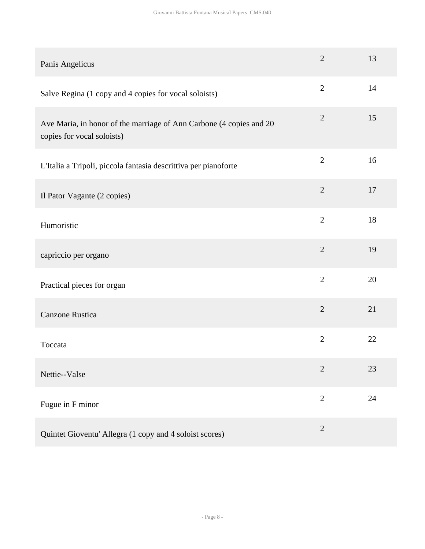| Panis Angelicus                                                                                   | $\overline{2}$ | 13 |
|---------------------------------------------------------------------------------------------------|----------------|----|
| Salve Regina (1 copy and 4 copies for vocal soloists)                                             | $\overline{2}$ | 14 |
| Ave Maria, in honor of the marriage of Ann Carbone (4 copies and 20<br>copies for vocal soloists) | $\overline{2}$ | 15 |
| L'Italia a Tripoli, piccola fantasia descrittiva per pianoforte                                   | $\overline{2}$ | 16 |
| Il Pator Vagante (2 copies)                                                                       | $\overline{2}$ | 17 |
| Humoristic                                                                                        | $\overline{2}$ | 18 |
| capriccio per organo                                                                              | $\overline{2}$ | 19 |
| Practical pieces for organ                                                                        | $\overline{2}$ | 20 |
| <b>Canzone Rustica</b>                                                                            | $\overline{2}$ | 21 |
| Toccata                                                                                           | $\overline{2}$ | 22 |
| Nettie--Valse                                                                                     | $\overline{2}$ | 23 |
| Fugue in F minor                                                                                  | $\overline{2}$ | 24 |
| Quintet Gioventu' Allegra (1 copy and 4 soloist scores)                                           | $\overline{2}$ |    |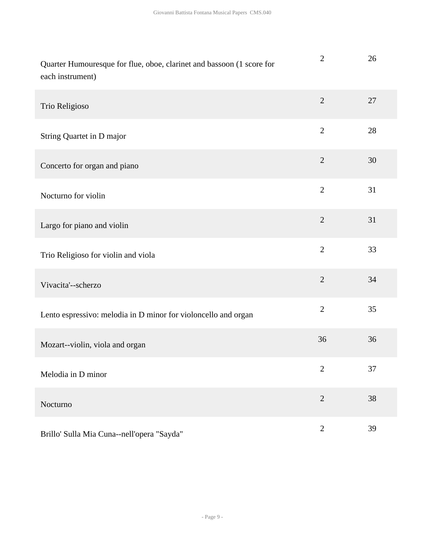| Quarter Humouresque for flue, oboe, clarinet and bassoon (1 score for<br>each instrument) | $\mathbf{2}$   | 26 |
|-------------------------------------------------------------------------------------------|----------------|----|
| Trio Religioso                                                                            | $\overline{2}$ | 27 |
| String Quartet in D major                                                                 | $\overline{2}$ | 28 |
| Concerto for organ and piano                                                              | $\overline{2}$ | 30 |
| Nocturno for violin                                                                       | $\overline{2}$ | 31 |
| Largo for piano and violin                                                                | $\overline{2}$ | 31 |
| Trio Religioso for violin and viola                                                       | $\overline{2}$ | 33 |
| Vivacita'--scherzo                                                                        | $\overline{2}$ | 34 |
| Lento espressivo: melodia in D minor for violoncello and organ                            | $\overline{2}$ | 35 |
| Mozart--violin, viola and organ                                                           | 36             | 36 |
| Melodia in D minor                                                                        | $\mathbf{2}$   | 37 |
| Nocturno                                                                                  | $\overline{2}$ | 38 |
| Brillo' Sulla Mia Cuna--nell'opera "Sayda"                                                | $\sqrt{2}$     | 39 |